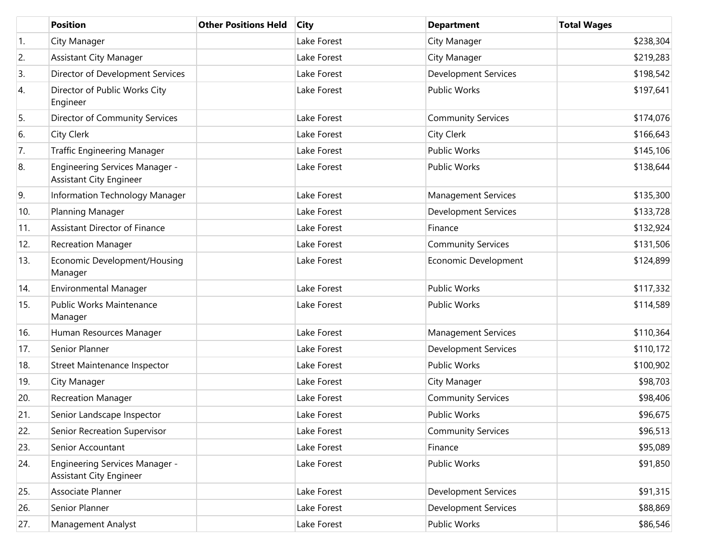|     | <b>Position</b>                                                  | <b>Other Positions Held</b> | <b>City</b> | <b>Department</b>           | <b>Total Wages</b> |
|-----|------------------------------------------------------------------|-----------------------------|-------------|-----------------------------|--------------------|
| 1.  | City Manager                                                     |                             | Lake Forest | City Manager                | \$238,304          |
| 2.  | <b>Assistant City Manager</b>                                    |                             | Lake Forest | City Manager                | \$219,283          |
| 3.  | Director of Development Services                                 |                             | Lake Forest | <b>Development Services</b> | \$198,542          |
| 4.  | Director of Public Works City<br>Engineer                        |                             | Lake Forest | <b>Public Works</b>         | \$197,641          |
| 5.  | Director of Community Services                                   |                             | Lake Forest | <b>Community Services</b>   | \$174,076          |
| 6.  | City Clerk                                                       |                             | Lake Forest | <b>City Clerk</b>           | \$166,643          |
| 7.  | <b>Traffic Engineering Manager</b>                               |                             | Lake Forest | <b>Public Works</b>         | \$145,106          |
| 8.  | Engineering Services Manager -<br><b>Assistant City Engineer</b> |                             | Lake Forest | <b>Public Works</b>         | \$138,644          |
| 9.  | Information Technology Manager                                   |                             | Lake Forest | <b>Management Services</b>  | \$135,300          |
| 10. | Planning Manager                                                 |                             | Lake Forest | <b>Development Services</b> | \$133,728          |
| 11. | <b>Assistant Director of Finance</b>                             |                             | Lake Forest | Finance                     | \$132,924          |
| 12. | <b>Recreation Manager</b>                                        |                             | Lake Forest | <b>Community Services</b>   | \$131,506          |
| 13. | Economic Development/Housing<br>Manager                          |                             | Lake Forest | Economic Development        | \$124,899          |
| 14. | Environmental Manager                                            |                             | Lake Forest | <b>Public Works</b>         | \$117,332          |
| 15. | <b>Public Works Maintenance</b><br>Manager                       |                             | Lake Forest | Public Works                | \$114,589          |
| 16. | Human Resources Manager                                          |                             | Lake Forest | <b>Management Services</b>  | \$110,364          |
| 17. | Senior Planner                                                   |                             | Lake Forest | <b>Development Services</b> | \$110,172          |
| 18. | Street Maintenance Inspector                                     |                             | Lake Forest | <b>Public Works</b>         | \$100,902          |
| 19. | City Manager                                                     |                             | Lake Forest | City Manager                | \$98,703           |
| 20. | <b>Recreation Manager</b>                                        |                             | Lake Forest | <b>Community Services</b>   | \$98,406           |
| 21. | Senior Landscape Inspector                                       |                             | Lake Forest | <b>Public Works</b>         | \$96,675           |
| 22. | Senior Recreation Supervisor                                     |                             | Lake Forest | <b>Community Services</b>   | \$96,513           |
| 23. | Senior Accountant                                                |                             | Lake Forest | Finance                     | \$95,089           |
| 24. | Engineering Services Manager -<br><b>Assistant City Engineer</b> |                             | Lake Forest | Public Works                | \$91,850           |
| 25. | Associate Planner                                                |                             | Lake Forest | <b>Development Services</b> | \$91,315           |
| 26. | Senior Planner                                                   |                             | Lake Forest | <b>Development Services</b> | \$88,869           |
| 27. | Management Analyst                                               |                             | Lake Forest | Public Works                | \$86,546           |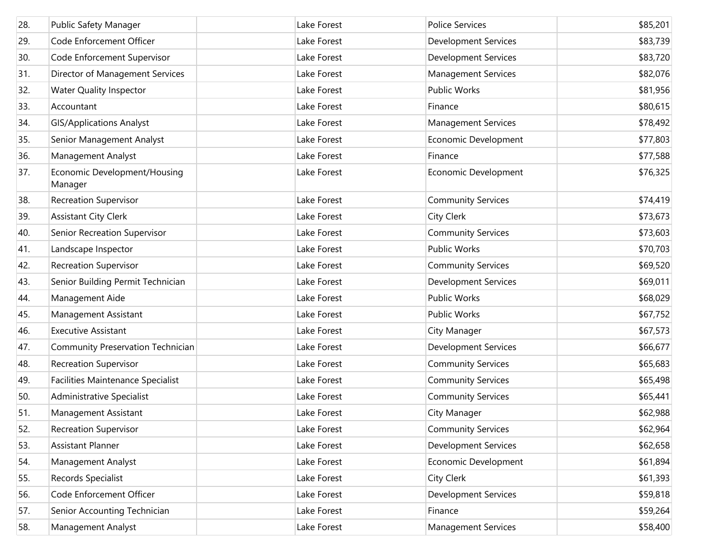| 28. | Public Safety Manager                    | Lake Forest | <b>Police Services</b>      | \$85,201 |
|-----|------------------------------------------|-------------|-----------------------------|----------|
| 29. | Code Enforcement Officer                 | Lake Forest | <b>Development Services</b> | \$83,739 |
| 30. | Code Enforcement Supervisor              | Lake Forest | <b>Development Services</b> | \$83,720 |
| 31. | Director of Management Services          | Lake Forest | Management Services         | \$82,076 |
| 32. | <b>Water Quality Inspector</b>           | Lake Forest | Public Works                | \$81,956 |
| 33. | Accountant                               | Lake Forest | Finance                     | \$80,615 |
| 34. | <b>GIS/Applications Analyst</b>          | Lake Forest | <b>Management Services</b>  | \$78,492 |
| 35. | Senior Management Analyst                | Lake Forest | Economic Development        | \$77,803 |
| 36. | Management Analyst                       | Lake Forest | Finance                     | \$77,588 |
| 37. | Economic Development/Housing<br>Manager  | Lake Forest | Economic Development        | \$76,325 |
| 38. | <b>Recreation Supervisor</b>             | Lake Forest | <b>Community Services</b>   | \$74,419 |
| 39. | <b>Assistant City Clerk</b>              | Lake Forest | City Clerk                  | \$73,673 |
| 40. | Senior Recreation Supervisor             | Lake Forest | <b>Community Services</b>   | \$73,603 |
| 41. | Landscape Inspector                      | Lake Forest | <b>Public Works</b>         | \$70,703 |
| 42. | <b>Recreation Supervisor</b>             | Lake Forest | <b>Community Services</b>   | \$69,520 |
| 43. | Senior Building Permit Technician        | Lake Forest | <b>Development Services</b> | \$69,011 |
| 44. | Management Aide                          | Lake Forest | <b>Public Works</b>         | \$68,029 |
| 45. | Management Assistant                     | Lake Forest | Public Works                | \$67,752 |
| 46. | <b>Executive Assistant</b>               | Lake Forest | City Manager                | \$67,573 |
| 47. | Community Preservation Technician        | Lake Forest | <b>Development Services</b> | \$66,677 |
| 48. | <b>Recreation Supervisor</b>             | Lake Forest | <b>Community Services</b>   | \$65,683 |
| 49. | <b>Facilities Maintenance Specialist</b> | Lake Forest | <b>Community Services</b>   | \$65,498 |
| 50. | Administrative Specialist                | Lake Forest | <b>Community Services</b>   | \$65,441 |
| 51. | Management Assistant                     | Lake Forest | City Manager                | \$62,988 |
| 52. | <b>Recreation Supervisor</b>             | Lake Forest | <b>Community Services</b>   | \$62,964 |
| 53. | <b>Assistant Planner</b>                 | Lake Forest | <b>Development Services</b> | \$62,658 |
| 54. | Management Analyst                       | Lake Forest | Economic Development        | \$61,894 |
| 55. | Records Specialist                       | Lake Forest | <b>City Clerk</b>           | \$61,393 |
| 56. | Code Enforcement Officer                 | Lake Forest | Development Services        | \$59,818 |
| 57. | Senior Accounting Technician             | Lake Forest | Finance                     | \$59,264 |
| 58. | Management Analyst                       | Lake Forest | <b>Management Services</b>  | \$58,400 |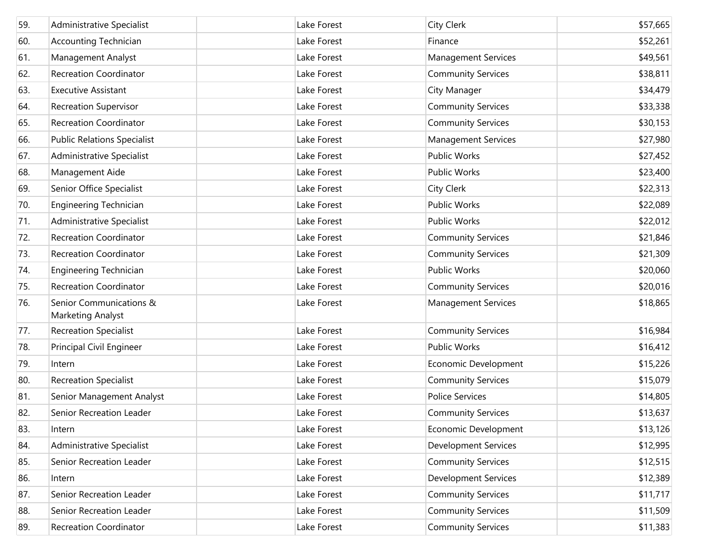| 59. | Administrative Specialist                    | Lake Forest | <b>City Clerk</b>           | \$57,665 |
|-----|----------------------------------------------|-------------|-----------------------------|----------|
| 60. | Accounting Technician                        | Lake Forest | Finance                     | \$52,261 |
| 61. | Management Analyst                           | Lake Forest | <b>Management Services</b>  | \$49,561 |
| 62. | <b>Recreation Coordinator</b>                | Lake Forest | <b>Community Services</b>   | \$38,811 |
| 63. | <b>Executive Assistant</b>                   | Lake Forest | City Manager                | \$34,479 |
| 64. | <b>Recreation Supervisor</b>                 | Lake Forest | <b>Community Services</b>   | \$33,338 |
| 65. | <b>Recreation Coordinator</b>                | Lake Forest | <b>Community Services</b>   | \$30,153 |
| 66. | <b>Public Relations Specialist</b>           | Lake Forest | <b>Management Services</b>  | \$27,980 |
| 67. | Administrative Specialist                    | Lake Forest | <b>Public Works</b>         | \$27,452 |
| 68. | Management Aide                              | Lake Forest | <b>Public Works</b>         | \$23,400 |
| 69. | Senior Office Specialist                     | Lake Forest | <b>City Clerk</b>           | \$22,313 |
| 70. | <b>Engineering Technician</b>                | Lake Forest | <b>Public Works</b>         | \$22,089 |
| 71. | Administrative Specialist                    | Lake Forest | <b>Public Works</b>         | \$22,012 |
| 72. | <b>Recreation Coordinator</b>                | Lake Forest | <b>Community Services</b>   | \$21,846 |
| 73. | <b>Recreation Coordinator</b>                | Lake Forest | <b>Community Services</b>   | \$21,309 |
| 74. | <b>Engineering Technician</b>                | Lake Forest | <b>Public Works</b>         | \$20,060 |
| 75. | <b>Recreation Coordinator</b>                | Lake Forest | <b>Community Services</b>   | \$20,016 |
| 76. | Senior Communications &<br>Marketing Analyst | Lake Forest | <b>Management Services</b>  | \$18,865 |
| 77. | <b>Recreation Specialist</b>                 | Lake Forest | <b>Community Services</b>   | \$16,984 |
| 78. | Principal Civil Engineer                     | Lake Forest | <b>Public Works</b>         | \$16,412 |
| 79. | Intern                                       | Lake Forest | Economic Development        | \$15,226 |
| 80. | <b>Recreation Specialist</b>                 | Lake Forest | <b>Community Services</b>   | \$15,079 |
| 81. | Senior Management Analyst                    | Lake Forest | <b>Police Services</b>      | \$14,805 |
| 82. | Senior Recreation Leader                     | Lake Forest | <b>Community Services</b>   | \$13,637 |
| 83. | Intern                                       | Lake Forest | Economic Development        | \$13,126 |
| 84. | Administrative Specialist                    | Lake Forest | <b>Development Services</b> | \$12,995 |
| 85. | Senior Recreation Leader                     | Lake Forest | <b>Community Services</b>   | \$12,515 |
| 86. | Intern                                       | Lake Forest | <b>Development Services</b> | \$12,389 |
| 87. | Senior Recreation Leader                     | Lake Forest | <b>Community Services</b>   | \$11,717 |
| 88. | Senior Recreation Leader                     | Lake Forest | <b>Community Services</b>   | \$11,509 |
| 89. | Recreation Coordinator                       | Lake Forest | <b>Community Services</b>   | \$11,383 |